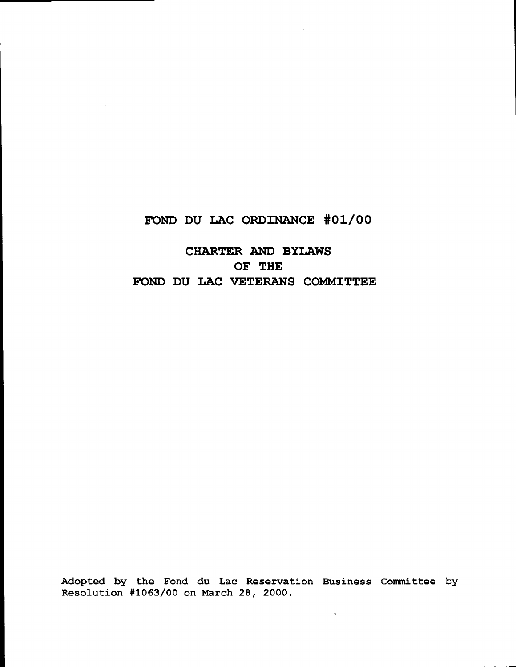## **FOND DU LAC ORDINANCE #01/00**

# **CHARTER AND BYLAWS OF THE FOND DU LAC VETERANS COMMITTEE**

Adopted by the Fond du Lac Reservation Business Committee by Resolution #1063/00 on March 28, 2000.

 $\mathbb{R}^4$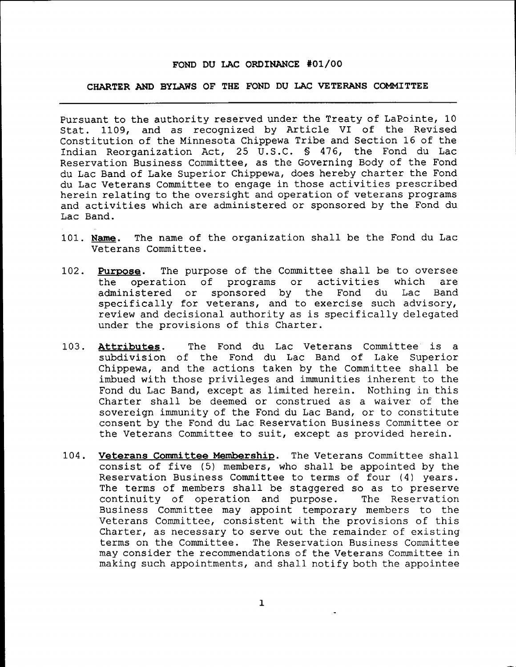#### **FOND DU LAC ORDINANCE #01/00**

## **CHARTER AND BYLAWS OF THE FOND DU LAC VETERANS COMMITTEE**

Pursuant to the authority reserved under the Treaty of LaPointe, 10 Stat. 1109, and as recognized by Article VI of the Revised Constitution of the Minnesota Chippewa Tribe and Section 16 of the Indian Reorganization Act, 25 U.S.C. § 476, the Fond du Lac Reservation Business Committee, as the Governing Body of the Fond du Lac Band of Lake Superior Chippewa, does hereby charter the Fond du Lac Veterans Committee to engage in those activities prescribed herein relating to the oversight and operation of veterans programs and activities which are administered or sponsored by the Fond du Lac Band.

- 101. **Name.** The name of the organization shall be the Fond du Lac Veterans Committee.
- 102. **Purpose.** The purpose of the Committee shall be to oversee the operation of programs or activities which are<br>administered or sponsored by the Fond du Lac Band sponsored by the specifically for veterans, and to exercise such advisory, review and decisional authority as is specifically delegated under the provisions of this Charter.
- 103. Attributes. The Fond du Lac Veterans Committee is a subdivision of the Fond du Lac Band of Lake Superior Chippewa, and the actions taken by the Committee shall be imbued with those privileges and immunities inherent to the Fond du Lac Band, except as limited herein. Nothing in this Charter shall be deemed or construed as a waiver of the sovereign immunity of the Fond du Lac Band, or to constitute consent by the Fond du Lac Reservation Business Committee or the Veterans Committee to suit, except as provided herein.
- 104. **veterans Committee Membership.** The Veterans Committee shall consist of five (5) members, who shall be appointed by the Reservation Business Committee to terms of four (4) years. The terms of members shall be staggered so as to preserve continuity of operation and purpose. The Reservation Business Committee may appoint temporary members to the Veterans Committee, consistent with the provisions of this Charter, as necessary to serve out the remainder of existing terms on the Committee. The Reservation Business Committee may consider the recommendations of the Veterans Committee in making such appointments, and shall notify both the appointee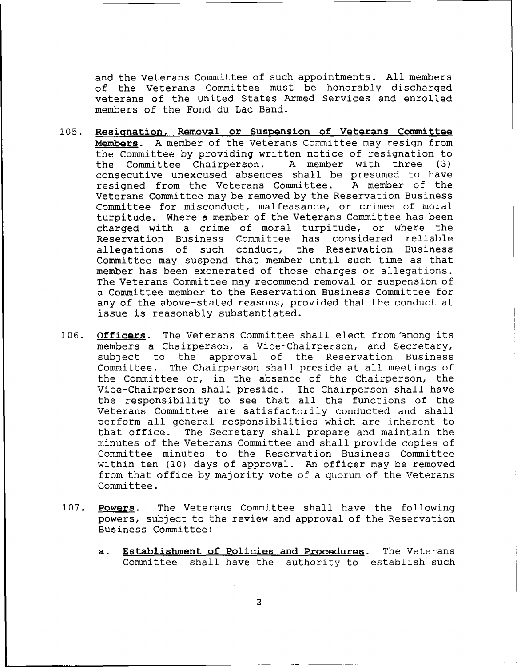and the Veterans Committee of such appointments. All members of the Veterans Committee must be honorably discharged veterans of the united States Armed Services and enrolled members of the Fond du Lac Band.

- 105. **Resignation, Removal or Suspension of Veterans Committee Members.** A member of the Veterans Committee may resign from the Committee by providing written notice of resignation to<br>the Committee Chairperson. A member with three (3) the Committee Chairperson. A member with three (3) consecutive unexcused absences shall be presumed to have resigned from the Veterans Committee. A member of the resigned from the Veterans Committee. Veterans Committee may be removed by the Reservation Business Committee for misconduct, malfeasance, or crimes of moral turpitUde. Where a member of the Veterans Committee has been charged with a crime of moral turpitude, or where the Reservation Business Committee has considered reliable allegations of such conduct, the Reservation Business Committee may suspend that member until such time as that member has been exonerated of those charges or allegations. The Veterans Committee may recommend removal or suspension of a Committee member to the Reservation Business Committee for any of the above-stated reasons, provided that the conduct at issue is reasonably substantiated.
- 106. **Officers.** The Veterans Committee shall elect from'among its members a Chairperson, a Vice-Chairperson, and Secretary, subject to the approval of the Reservation Business Committee. The Chairperson shall preside at all meetings of the Committee or, in the absence of the Chairperson, the Vice-Chairperson shall preside. The Chairperson shall have the responsibility to see that all the functions of the Veterans Committee are satisfactorily conducted and shall perform all general responsibilities which are inherent to that office. The Secretary shall prepare and maintain the minutes of the Veterans Committee and shall provide copies of Committee minutes to the Reservation Business Committee within ten (10) days of approval. An officer may be removed from that office by majority vote of a quorum of the Veterans Committee.
- 107. **Powers.** The Veterans Committee shall have the following powers, subject to the review and approval of the Reservation Business Committee:
	- **a. Establishment of Policies and Procedures.** The Veterans Committee shall have the authority to establish such

2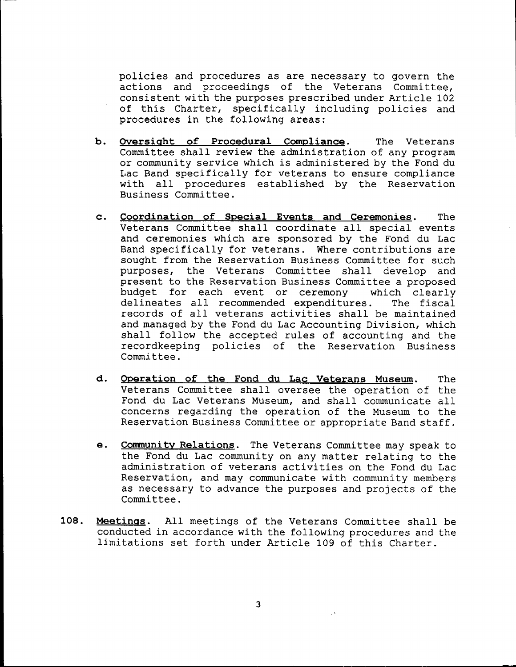policies and procedures as are necessary to govern the actions and proceedings of the Veterans Committee, consistent with the purposes prescribed under Article 102 of this Charter, specifically including policies and procedures in the following areas:

- **b. Oversight of Procedural Compliance.** The Veterans Committee shall review the administration of any program or community service which *is* administered by the Fond du Lac Band specifically for veterans to ensure compliance with all procedures established by the Reservation Business Committee.
- **c. Coordination of Special Events and Ceremonies.** The Veterans Committee shall coordinate all special events and ceremonies which are sponsored by the Fond du Lac Band specifically for veterans. Where contributions are sought from the Reservation Business Committee for such purposes, the Veterans Committee shall develop and present to the Reservation Business Committee a proposed budget for each event or ceremony which clearly<br>delineates all recommended expenditures. The fiscal delineates all recommended expenditures. records of all veterans activities shall be maintained and managed by the Fond du Lac Accounting Division, which shall follow the accepted rules of accounting and the recordkeeping policies of the Reservation Business Committee.
- **d. OPeration of the Fond du Lac Veterans Museum.** The Veterans Committee shall oversee the operation of the Fond du Lac Veterans Museum, and shall communicate all concerns regarding the operation of the Museum to the Reservation Business Committee or appropriate Band staff.
- e. **Communitv Relations.** The Veterans Committee may speak to the Fond du Lac community on any matter relating to the administration of veterans activities on the Fond du Lac Reservation, and may communicate with community members as necessary to advance the purposes and projects of the Committee.
- **108. Meetings.** All meetings of the Veterans Committee shall be conducted in accordance with the following procedures and the limitations set forth under Article 109 of this Charter.

3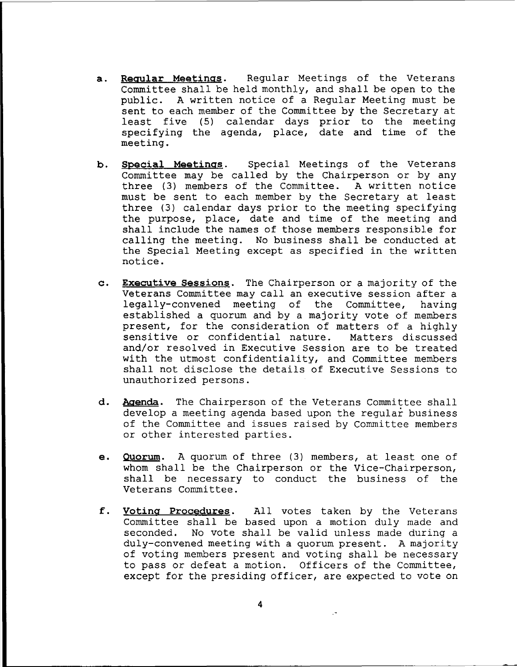- a. **Reaular Meetinas.** Regular Meetings of the veterans Committee shall be held monthly, and shall be open to the public. A written notice of a Regular Meeting must be sent to each member of the Committee by the Secretary at least five (5) calendar days prior to the meeting specifying the agenda, place, date and time of the meeting.
- **b. Soecial Meetinas.** Special Meetings of the veterans Committee may be called by the Chairperson or by any three (3) members of the Committee. A written notice must be sent to each member by the Secretary at least three (3) calendar days prior to the meeting specifying the purpose, place, date and time of the meeting and shall include the names of those members responsible for calling the meeting. No business shall be conducted at the Special Meeting except as specified in the written notice.
- **c. Executive Sessions.** The Chairperson or a majority of the Veterans Committee may call an executive session after <sup>a</sup> legally-convened meeting of the Committee, having established a quorum and by a majority vote of members present, for the consideration of matters of a highly sensitive or confidential nature. Matters discussed and/or resolved in Executive Session are to be treated with the utmost confidentiality, and Committee members shall not disclose the details of Executive Sessions to unauthorized persons.
- **d. Agenda.** The Chairperson of the Veterans Committee shall develop a meeting agenda based upon the regular business of the Committee and issues raised by Committee members or other interested parties.
- **e. Quorum.** <sup>A</sup> quorum of three (3) members, at least one of whom shall be the Chairperson or the Vice-Chairperson, shall be necessary to conduct the business of the Veterans Committee.
- f. **Votina Procedures.** All votes taken by the Veterans Commi ttee shall be based upon <sup>a</sup> motion duly made and seconded. No vote shall be valid unless made during a duly-convened meeting with a quorum present. A majority of voting members present and voting shall be necessary to pass or defeat a motion. Officers of the Committee, except for the presiding officer, are expected to vote on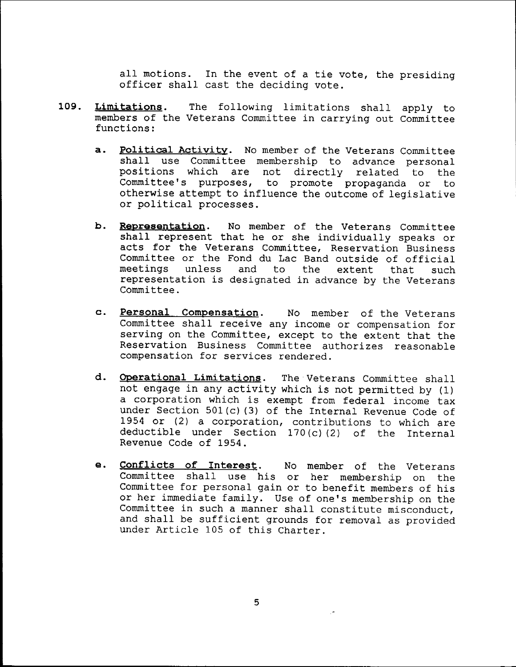all motions. In the event of <sup>a</sup> tie vote, the presiding officer shall cast the deciding vote.

- **109. Limitations.** The following limitations shall apply to members of the Veterans Committee in carrying out Committee functions:
	- **a. Political Activity.** No member of the Veterans Committee shall use Committee membership to advance personal positions which are not directly related to the Committee's purposes, to promote propaganda or to otherwise attempt to influence the outcome of legislative or political processes.
	- b. **Representation.** No member of the Veterans Committee shall represent that he or she individually speaks or acts for the Veterans Committee, Reservation Business Committee or the Fond du Lac Band outside of official meetings unless and to the extent that such representation is designated in advance by the Veterans Committee.
	- **c. Personal Compensation.** No member of the Veterans Committee shall receive any income or compensation for serving on the Committee, except to the extent that the Reservation Business Committee authorizes reasonable compensation for services rendered.
	- **d. OPerational Limitations.** The Veterans Committee shall not engage in any activity which is not permitted by (1) <sup>a</sup> corporation which is exempt from federal income tax under Section 501(c) (3) of the Internal Revenue Code of 1954 or (2) a corporation, contributions to which are deductible under Section 170 (c) (2) of the Internal Revenue Code of 1954.
	- **e. Conflicts of Interest.** No member of the Veterans Committee shall use his or her membership on the Committee for personal gain or to benefit members of his or her immediate family. Use of one's membership on the Committee in such a manner shall constitute misconduct, and shall be sufficient grounds for removal as provided under Article 105 of this Charter.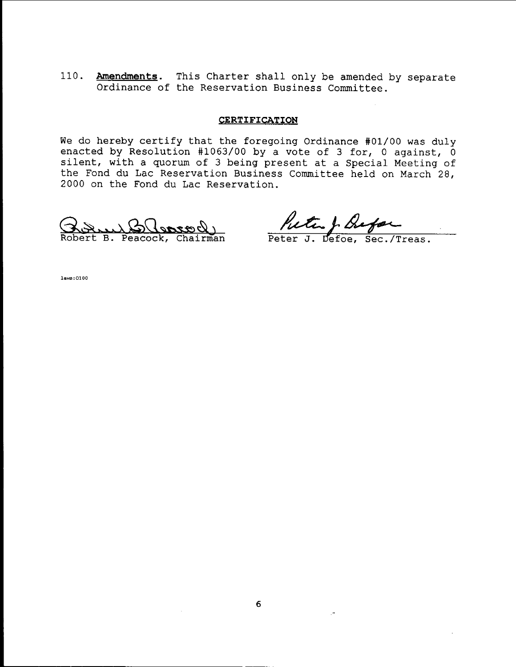110. **Amendments.** This Charter shall only be amended by separate Ordinance of the Reservation Business Committee.

### **CERTIFICATION**

We do hereby certify that the foregoing Ordinance #01/00 was duly enacted by Resolution #1063/00 by a vote of 3 for, 0 against,  $\overline{0}$ silent, with a quorum of 3 being present at a Special Meeting of the Fond du Lac Reservation Business Committee held on March 28, 2000 on the Fond du Lac Reservation.

<u>Broun Blencock</u><br>bert B. Peacock, Chairman

Putu J. Bufor

laws:0100